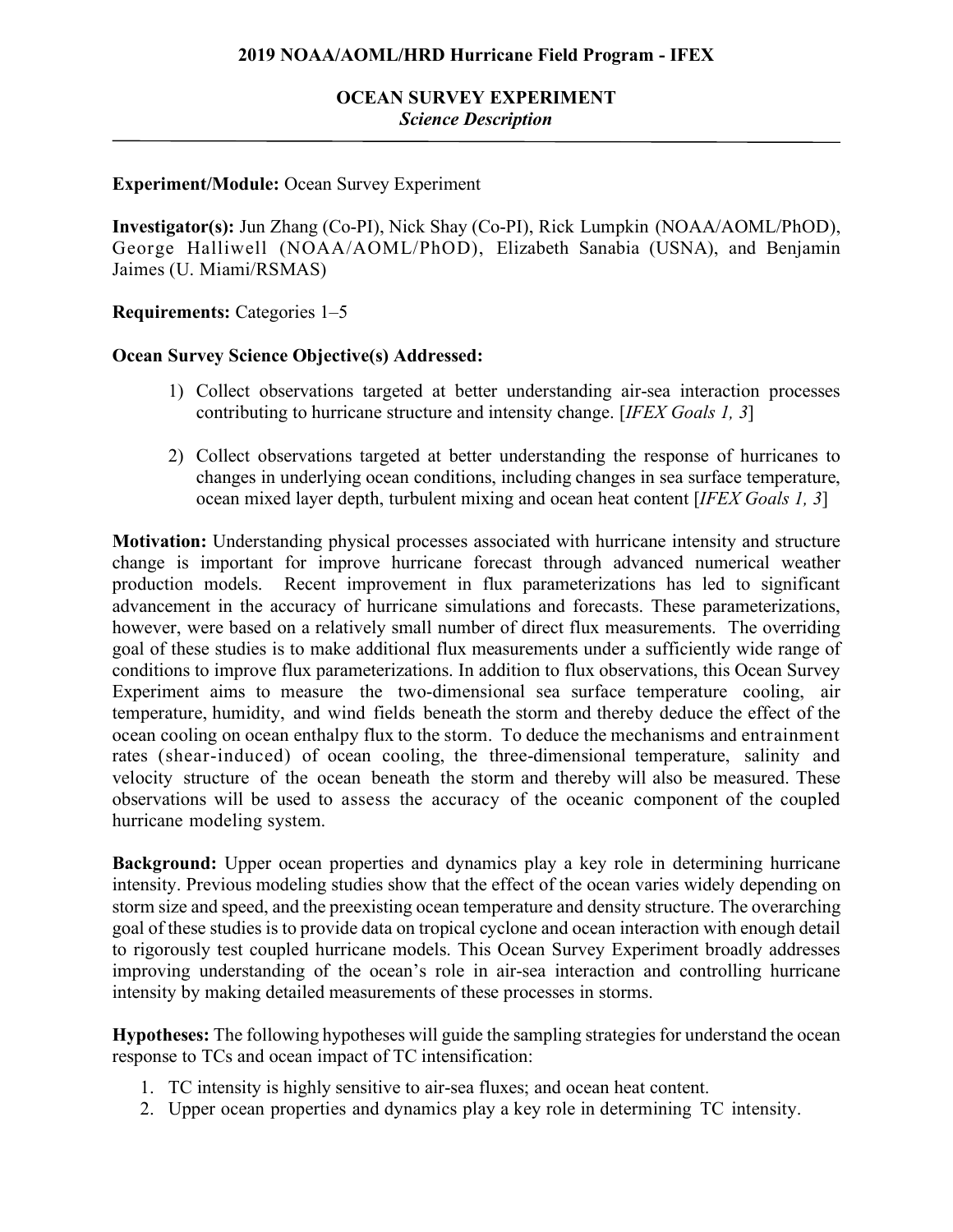### **2019 NOAA/AOML/HRD Hurricane Field Program - IFEX**

## **OCEAN SURVEY EXPERIMENT** *Science Description*

### **Experiment/Module:** Ocean Survey Experiment

**Investigator(s):** Jun Zhang (Co-PI), Nick Shay (Co-PI), Rick Lumpkin (NOAA/AOML/PhOD), George Halliwell (NOAA/AOML/PhOD), Elizabeth Sanabia (USNA), and Benjamin Jaimes (U. Miami/RSMAS)

**Requirements:** Categories 1–5

### **Ocean Survey Science Objective(s) Addressed:**

- 1) Collect observations targeted at better understanding air-sea interaction processes contributing to hurricane structure and intensity change. [*IFEX Goals 1, 3*]
- 2) Collect observations targeted at better understanding the response of hurricanes to changes in underlying ocean conditions, including changes in sea surface temperature, ocean mixed layer depth, turbulent mixing and ocean heat content [*IFEX Goals 1, 3*]

**Motivation:** Understanding physical processes associated with hurricane intensity and structure change is important for improve hurricane forecast through advanced numerical weather production models. Recent improvement in flux parameterizations has led to significant advancement in the accuracy of hurricane simulations and forecasts. These parameterizations, however, were based on a relatively small number of direct flux measurements. The overriding goal of these studies is to make additional flux measurements under a sufficiently wide range of conditions to improve flux parameterizations. In addition to flux observations, this Ocean Survey Experiment aims to measure the two-dimensional sea surface temperature cooling, air temperature, humidity, and wind fields beneath the storm and thereby deduce the effect of the ocean cooling on ocean enthalpy flux to the storm. To deduce the mechanisms and entrainment rates (shear-induced) of ocean cooling, the three-dimensional temperature, salinity and velocity structure of the ocean beneath the storm and thereby will also be measured. These observations will be used to assess the accuracy of the oceanic component of the coupled hurricane modeling system.

**Background:** Upper ocean properties and dynamics play a key role in determining hurricane intensity. Previous modeling studies show that the effect of the ocean varies widely depending on storm size and speed, and the preexisting ocean temperature and density structure. The overarching goal of these studies is to provide data on tropical cyclone and ocean interaction with enough detail to rigorously test coupled hurricane models. This Ocean Survey Experiment broadly addresses improving understanding of the ocean's role in air-sea interaction and controlling hurricane intensity by making detailed measurements of these processes in storms.

**Hypotheses:** The following hypotheses will guide the sampling strategies for understand the ocean response to TCs and ocean impact of TC intensification:

- 1. TC intensity is highly sensitive to air-sea fluxes; and ocean heat content.
- 2. Upper ocean properties and dynamics play a key role in determining TC intensity.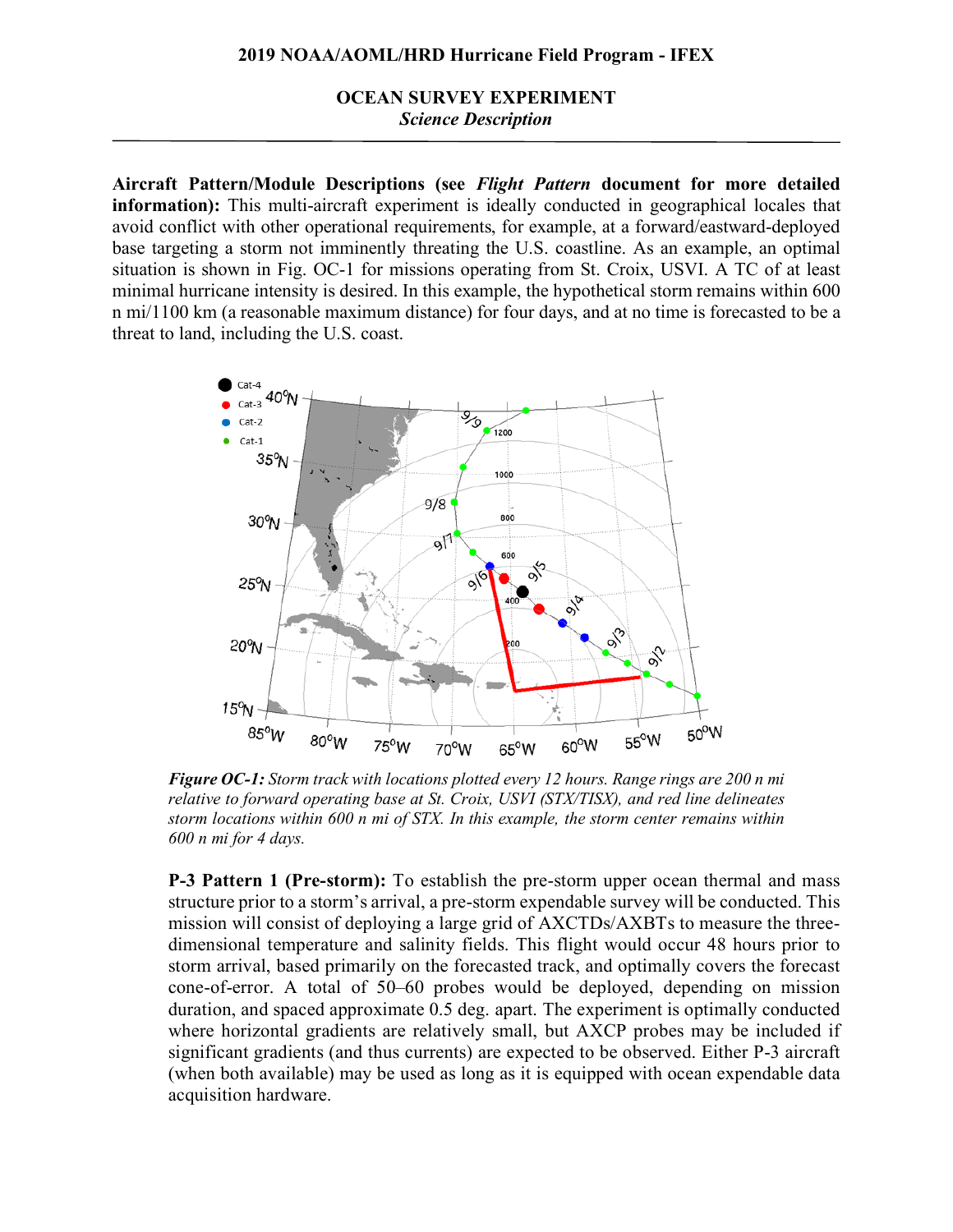**OCEAN SURVEY EXPERIMENT** *Science Description*

**Aircraft Pattern/Module Descriptions (see** *Flight Pattern* **document for more detailed information):** This multi-aircraft experiment is ideally conducted in geographical locales that avoid conflict with other operational requirements, for example, at a forward/eastward-deployed base targeting a storm not imminently threating the U.S. coastline. As an example, an optimal situation is shown in Fig. OC-1 for missions operating from St. Croix, USVI. A TC of at least minimal hurricane intensity is desired. In this example, the hypothetical storm remains within 600 n mi/1100 km (a reasonable maximum distance) for four days, and at no time is forecasted to be a threat to land, including the U.S. coast.



*Figure OC-1: Storm track with locations plotted every 12 hours. Range rings are 200 n mi relative to forward operating base at St. Croix, USVI (STX/TISX), and red line delineates storm locations within 600 n mi of STX. In this example, the storm center remains within 600 n mi for 4 days.*

**P-3 Pattern 1 (Pre-storm):** To establish the pre-storm upper ocean thermal and mass structure prior to a storm's arrival, a pre-storm expendable survey will be conducted. This mission will consist of deploying a large grid of AXCTDs/AXBTs to measure the threedimensional temperature and salinity fields. This flight would occur 48 hours prior to storm arrival, based primarily on the forecasted track, and optimally covers the forecast cone-of-error. A total of 50–60 probes would be deployed, depending on mission duration, and spaced approximate 0.5 deg. apart. The experiment is optimally conducted where horizontal gradients are relatively small, but AXCP probes may be included if significant gradients (and thus currents) are expected to be observed. Either P-3 aircraft (when both available) may be used as long as it is equipped with ocean expendable data acquisition hardware.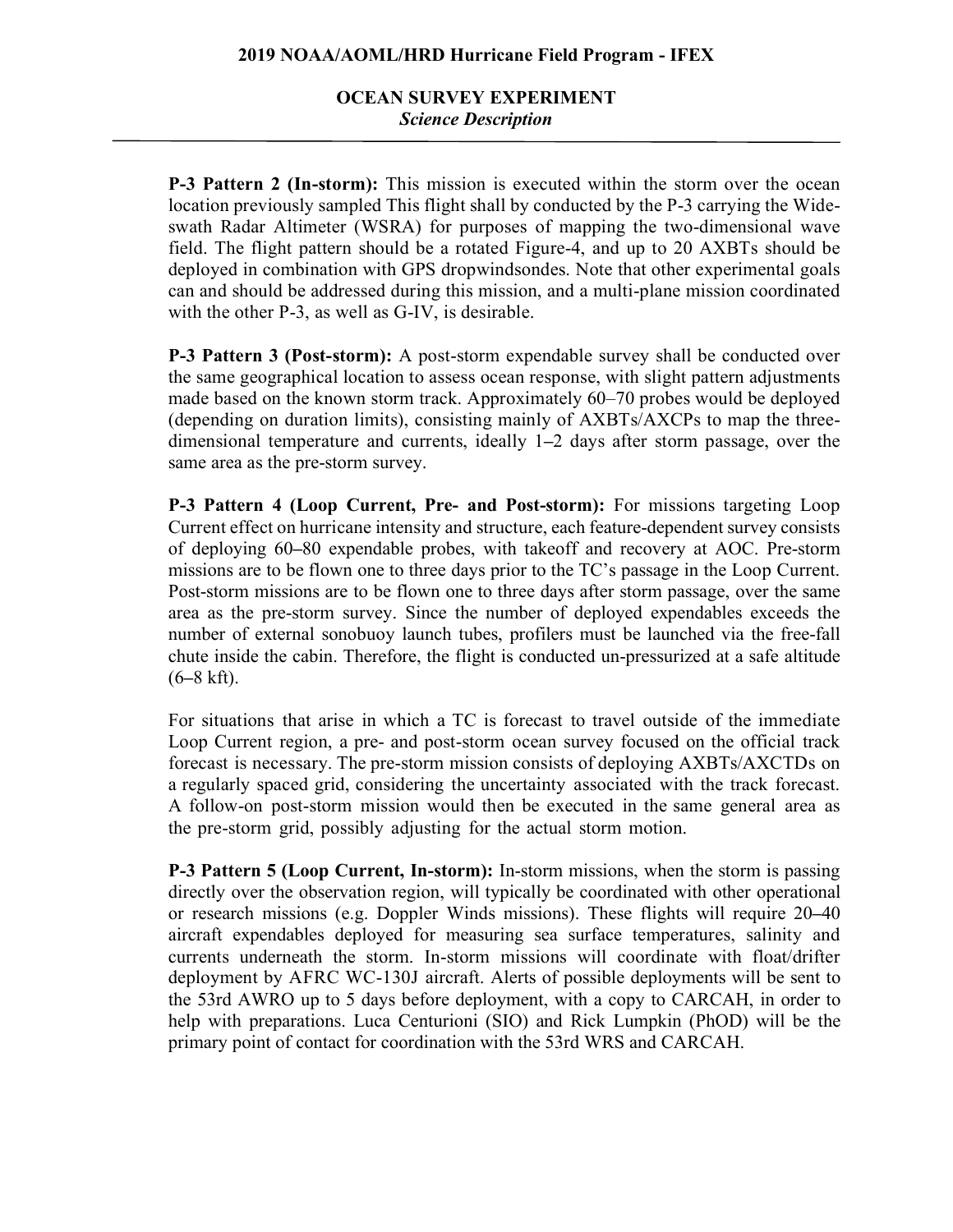## **OCEAN SURVEY EXPERIMENT** *Science Description*

**P-3 Pattern 2 (In-storm):** This mission is executed within the storm over the ocean location previously sampled This flight shall by conducted by the P-3 carrying the Wideswath Radar Altimeter (WSRA) for purposes of mapping the two-dimensional wave field. The flight pattern should be a rotated Figure-4, and up to 20 AXBTs should be deployed in combination with GPS dropwindsondes. Note that other experimental goals can and should be addressed during this mission, and a multi-plane mission coordinated with the other P-3, as well as G-IV, is desirable.

**P-3 Pattern 3 (Post-storm):** A post-storm expendable survey shall be conducted over the same geographical location to assess ocean response, with slight pattern adjustments made based on the known storm track. Approximately 60–70 probes would be deployed (depending on duration limits), consisting mainly of AXBTs/AXCPs to map the threedimensional temperature and currents, ideally 1**–**2 days after storm passage, over the same area as the pre-storm survey.

**P-3 Pattern 4 (Loop Current, Pre- and Post-storm):** For missions targeting Loop Current effect on hurricane intensity and structure, each feature-dependent survey consists of deploying 60**–**80 expendable probes, with takeoff and recovery at AOC. Pre-storm missions are to be flown one to three days prior to the TC's passage in the Loop Current. Post-storm missions are to be flown one to three days after storm passage, over the same area as the pre-storm survey. Since the number of deployed expendables exceeds the number of external sonobuoy launch tubes, profilers must be launched via the free-fall chute inside the cabin. Therefore, the flight is conducted un-pressurized at a safe altitude (6**–**8 kft).

For situations that arise in which a TC is forecast to travel outside of the immediate Loop Current region, a pre- and post-storm ocean survey focused on the official track forecast is necessary. The pre-storm mission consists of deploying AXBTs/AXCTDs on a regularly spaced grid, considering the uncertainty associated with the track forecast. A follow-on post-storm mission would then be executed in the same general area as the pre-storm grid, possibly adjusting for the actual storm motion.

**P-3 Pattern 5 (Loop Current, In-storm):** In-storm missions, when the storm is passing directly over the observation region, will typically be coordinated with other operational or research missions (e.g. Doppler Winds missions). These flights will require 20**–**40 aircraft expendables deployed for measuring sea surface temperatures, salinity and currents underneath the storm. In-storm missions will coordinate with float/drifter deployment by AFRC WC-130J aircraft. Alerts of possible deployments will be sent to the 53rd AWRO up to 5 days before deployment, with a copy to CARCAH, in order to help with preparations. Luca Centurioni (SIO) and Rick Lumpkin (PhOD) will be the primary point of contact for coordination with the 53rd WRS and CARCAH.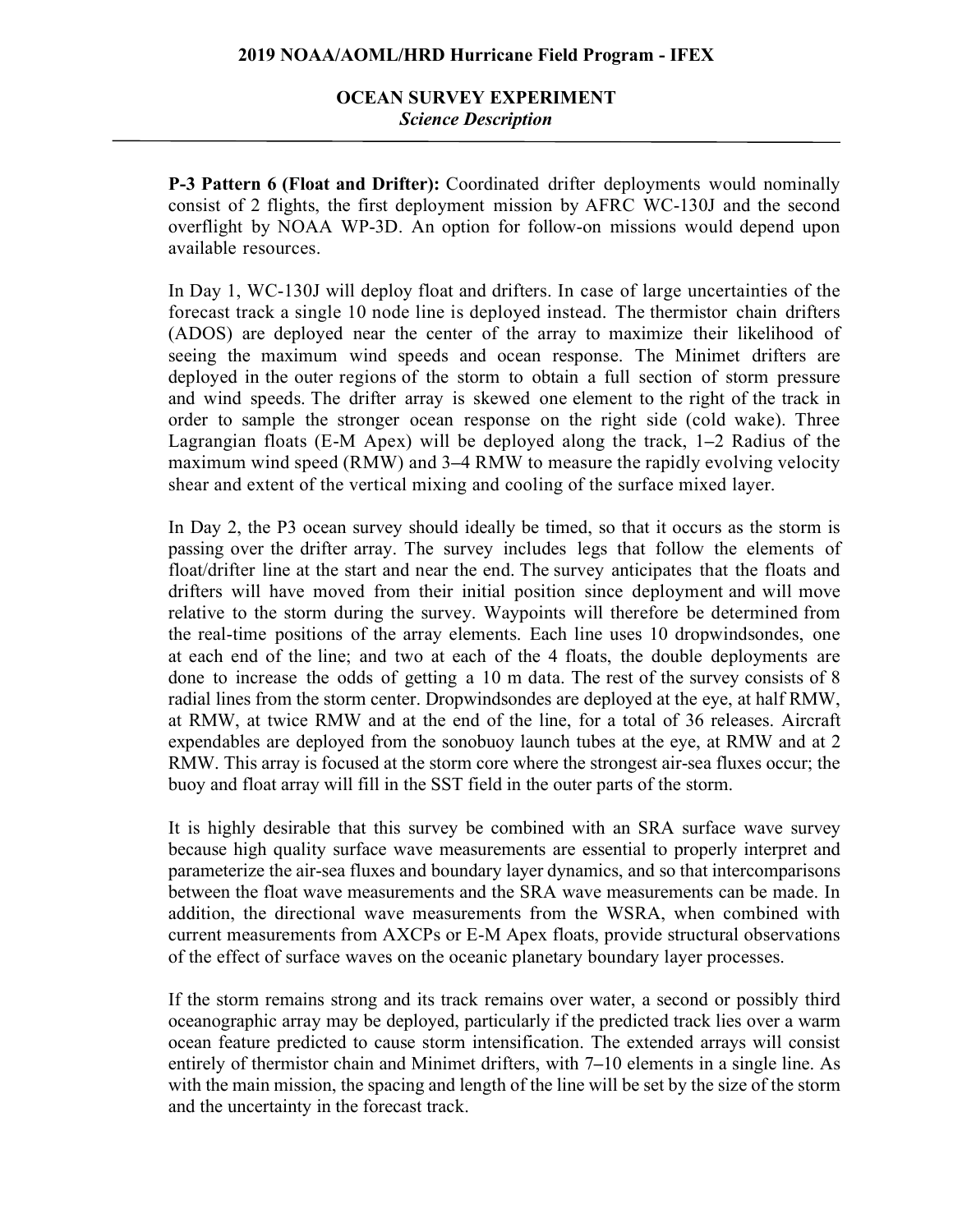# **OCEAN SURVEY EXPERIMENT** *Science Description*

**P-3 Pattern 6 (Float and Drifter):** Coordinated drifter deployments would nominally consist of 2 flights, the first deployment mission by AFRC WC-130J and the second overflight by NOAA WP-3D. An option for follow-on missions would depend upon available resources.

In Day 1, WC-130J will deploy float and drifters. In case of large uncertainties of the forecast track a single 10 node line is deployed instead. The thermistor chain drifters (ADOS) are deployed near the center of the array to maximize their likelihood of seeing the maximum wind speeds and ocean response. The Minimet drifters are deployed in the outer regions of the storm to obtain a full section of storm pressure and wind speeds. The drifter array is skewed one element to the right of the track in order to sample the stronger ocean response on the right side (cold wake). Three Lagrangian floats (E-M Apex) will be deployed along the track, 1**–**2 Radius of the maximum wind speed (RMW) and 3**–**4 RMW to measure the rapidly evolving velocity shear and extent of the vertical mixing and cooling of the surface mixed layer.

In Day 2, the P3 ocean survey should ideally be timed, so that it occurs as the storm is passing over the drifter array. The survey includes legs that follow the elements of float/drifter line at the start and near the end. The survey anticipates that the floats and drifters will have moved from their initial position since deployment and will move relative to the storm during the survey. Waypoints will therefore be determined from the real-time positions of the array elements. Each line uses 10 dropwindsondes, one at each end of the line; and two at each of the 4 floats, the double deployments are done to increase the odds of getting a 10 m data. The rest of the survey consists of 8 radial lines from the storm center. Dropwindsondes are deployed at the eye, at half RMW, at RMW, at twice RMW and at the end of the line, for a total of 36 releases. Aircraft expendables are deployed from the sonobuoy launch tubes at the eye, at RMW and at 2 RMW. This array is focused at the storm core where the strongest air-sea fluxes occur; the buoy and float array will fill in the SST field in the outer parts of the storm.

It is highly desirable that this survey be combined with an SRA surface wave survey because high quality surface wave measurements are essential to properly interpret and parameterize the air-sea fluxes and boundary layer dynamics, and so that intercomparisons between the float wave measurements and the SRA wave measurements can be made. In addition, the directional wave measurements from the WSRA, when combined with current measurements from AXCPs or E-M Apex floats, provide structural observations of the effect of surface waves on the oceanic planetary boundary layer processes.

If the storm remains strong and its track remains over water, a second or possibly third oceanographic array may be deployed, particularly if the predicted track lies over a warm ocean feature predicted to cause storm intensification. The extended arrays will consist entirely of thermistor chain and Minimet drifters, with 7**–**10 elements in a single line. As with the main mission, the spacing and length of the line will be set by the size of the storm and the uncertainty in the forecast track.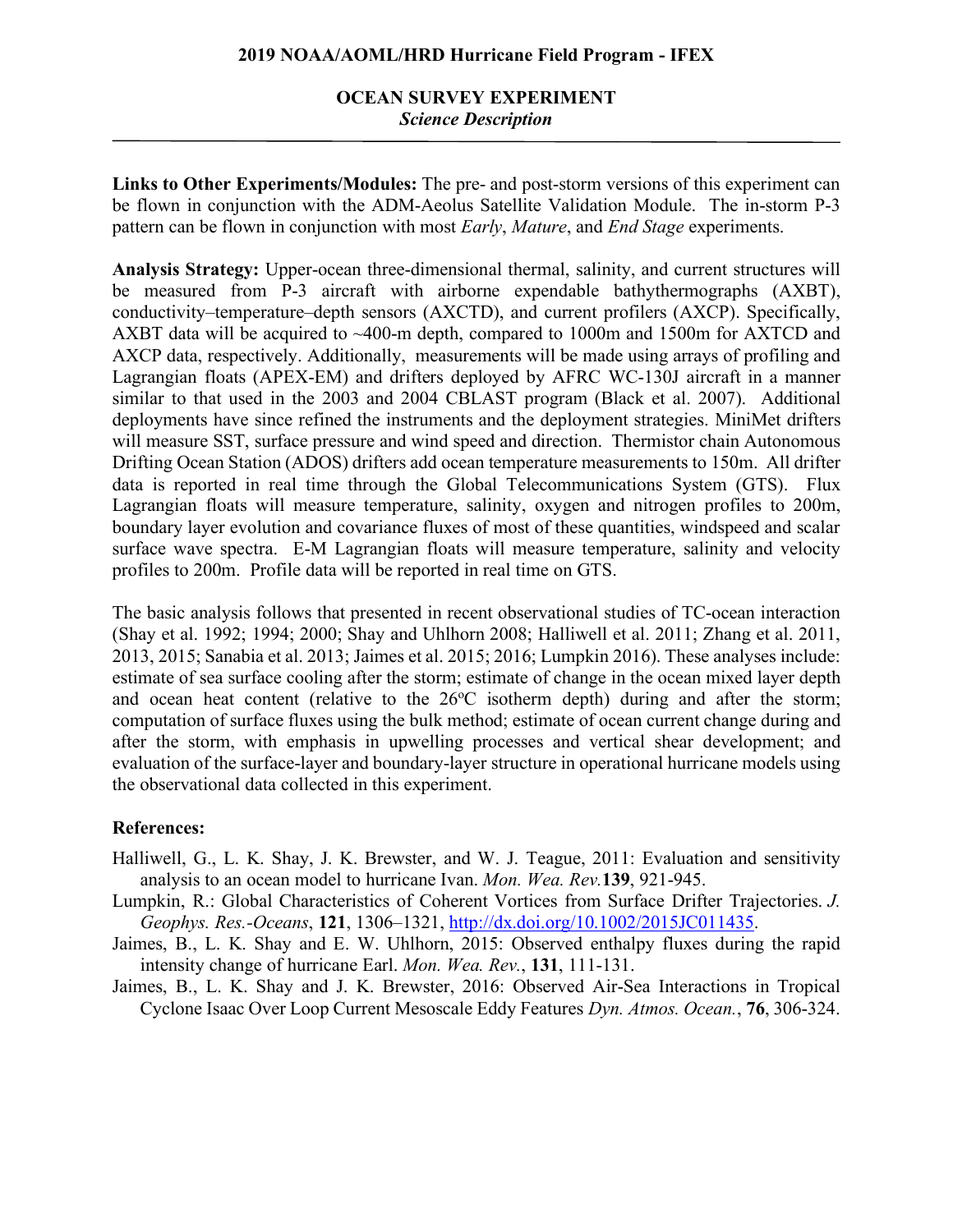### **2019 NOAA/AOML/HRD Hurricane Field Program - IFEX**

## **OCEAN SURVEY EXPERIMENT** *Science Description*

**Links to Other Experiments/Modules:** The pre- and post-storm versions of this experiment can be flown in conjunction with the ADM-Aeolus Satellite Validation Module. The in-storm P-3 pattern can be flown in conjunction with most *Early*, *Mature*, and *End Stage* experiments.

**Analysis Strategy:** Upper-ocean three-dimensional thermal, salinity, and current structures will be measured from P-3 aircraft with airborne expendable bathythermographs (AXBT), conductivity–temperature–depth sensors (AXCTD), and current profilers (AXCP). Specifically, AXBT data will be acquired to ~400-m depth, compared to 1000m and 1500m for AXTCD and AXCP data, respectively. Additionally, measurements will be made using arrays of profiling and Lagrangian floats (APEX-EM) and drifters deployed by AFRC WC-130J aircraft in a manner similar to that used in the 2003 and 2004 CBLAST program (Black et al. 2007). Additional deployments have since refined the instruments and the deployment strategies. MiniMet drifters will measure SST, surface pressure and wind speed and direction. Thermistor chain Autonomous Drifting Ocean Station (ADOS) drifters add ocean temperature measurements to 150m. All drifter data is reported in real time through the Global Telecommunications System (GTS). Flux Lagrangian floats will measure temperature, salinity, oxygen and nitrogen profiles to 200m, boundary layer evolution and covariance fluxes of most of these quantities, windspeed and scalar surface wave spectra. E-M Lagrangian floats will measure temperature, salinity and velocity profiles to 200m. Profile data will be reported in real time on GTS.

The basic analysis follows that presented in recent observational studies of TC-ocean interaction (Shay et al. 1992; 1994; 2000; Shay and Uhlhorn 2008; Halliwell et al. 2011; Zhang et al. 2011, 2013, 2015; Sanabia et al. 2013; Jaimes et al. 2015; 2016; Lumpkin 2016). These analyses include: estimate of sea surface cooling after the storm; estimate of change in the ocean mixed layer depth and ocean heat content (relative to the  $26^{\circ}$ C isotherm depth) during and after the storm; computation of surface fluxes using the bulk method; estimate of ocean current change during and after the storm, with emphasis in upwelling processes and vertical shear development; and evaluation of the surface-layer and boundary-layer structure in operational hurricane models using the observational data collected in this experiment.

### **References:**

- Halliwell, G., L. K. Shay, J. K. Brewster, and W. J. Teague, 2011: Evaluation and sensitivity analysis to an ocean model to hurricane Ivan. *Mon. Wea. Rev.***139**, 921-945.
- Lumpkin, R.: Global Characteristics of Coherent Vortices from Surface Drifter Trajectories. *J. Geophys. Res.-Oceans*, **121**, 1306–1321, http://dx.doi.org/10.1002/2015JC011435.
- Jaimes, B., L. K. Shay and E. W. Uhlhorn, 2015: Observed enthalpy fluxes during the rapid intensity change of hurricane Earl. *Mon. Wea. Rev.*, **131**, 111-131.
- Jaimes, B., L. K. Shay and J. K. Brewster, 2016: Observed Air-Sea Interactions in Tropical Cyclone Isaac Over Loop Current Mesoscale Eddy Features *Dyn. Atmos. Ocean.*, **76**, 306-324.